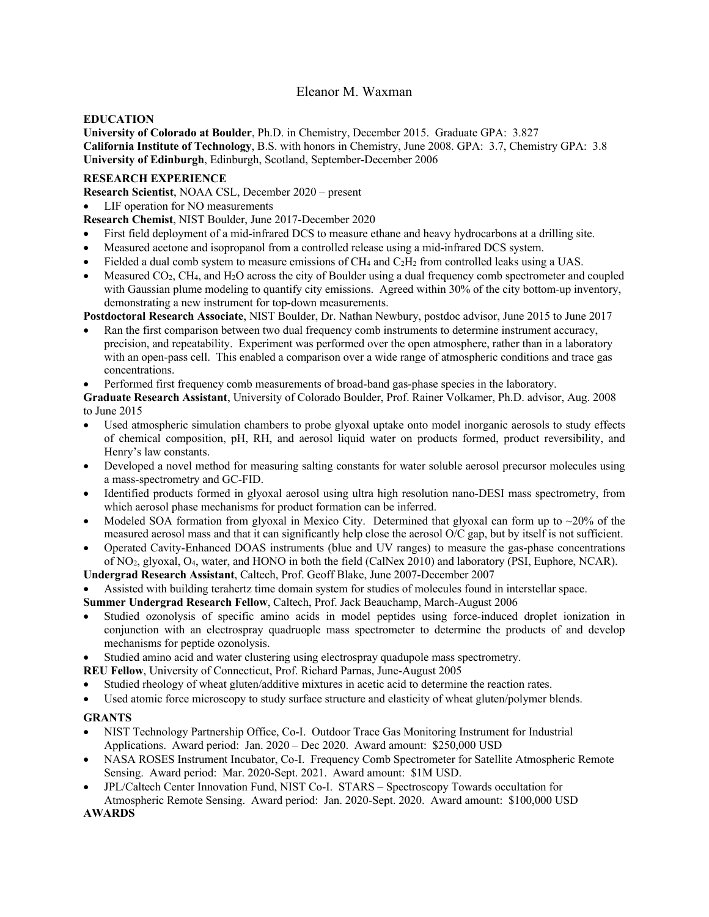# Eleanor M. Waxman

## **EDUCATION**

**University of Colorado at Boulder**, Ph.D. in Chemistry, December 2015. Graduate GPA: 3.827 **California Institute of Technology**, B.S. with honors in Chemistry, June 2008. GPA: 3.7, Chemistry GPA: 3.8 **University of Edinburgh**, Edinburgh, Scotland, September-December 2006

## **RESEARCH EXPERIENCE**

**Research Scientist**, NOAA CSL, December 2020 – present

LIF operation for NO measurements

**Research Chemist**, NIST Boulder, June 2017-December 2020

- First field deployment of a mid-infrared DCS to measure ethane and heavy hydrocarbons at a drilling site.
- Measured acetone and isopropanol from a controlled release using a mid-infrared DCS system.
- Fielded a dual comb system to measure emissions of CH4 and C2H2 from controlled leaks using a UAS.
- Measured CO2, CH4, and H2O across the city of Boulder using a dual frequency comb spectrometer and coupled with Gaussian plume modeling to quantify city emissions. Agreed within 30% of the city bottom-up inventory, demonstrating a new instrument for top-down measurements.

**Postdoctoral Research Associate**, NIST Boulder, Dr. Nathan Newbury, postdoc advisor, June 2015 to June 2017

- Ran the first comparison between two dual frequency comb instruments to determine instrument accuracy, precision, and repeatability. Experiment was performed over the open atmosphere, rather than in a laboratory with an open-pass cell. This enabled a comparison over a wide range of atmospheric conditions and trace gas concentrations.
- Performed first frequency comb measurements of broad-band gas-phase species in the laboratory.

**Graduate Research Assistant**, University of Colorado Boulder, Prof. Rainer Volkamer, Ph.D. advisor, Aug. 2008 to June 2015

- Used atmospheric simulation chambers to probe glyoxal uptake onto model inorganic aerosols to study effects of chemical composition, pH, RH, and aerosol liquid water on products formed, product reversibility, and Henry's law constants.
- Developed a novel method for measuring salting constants for water soluble aerosol precursor molecules using a mass-spectrometry and GC-FID.
- Identified products formed in glyoxal aerosol using ultra high resolution nano-DESI mass spectrometry, from which aerosol phase mechanisms for product formation can be inferred.
- Modeled SOA formation from glyoxal in Mexico City. Determined that glyoxal can form up to ~20% of the measured aerosol mass and that it can significantly help close the aerosol O/C gap, but by itself is not sufficient.
- Operated Cavity-Enhanced DOAS instruments (blue and UV ranges) to measure the gas-phase concentrations of NO2, glyoxal, O4, water, and HONO in both the field (CalNex 2010) and laboratory (PSI, Euphore, NCAR).
- **Undergrad Research Assistant**, Caltech, Prof. Geoff Blake, June 2007-December 2007
- Assisted with building terahertz time domain system for studies of molecules found in interstellar space.

**Summer Undergrad Research Fellow**, Caltech, Prof. Jack Beauchamp, March-August 2006

- Studied ozonolysis of specific amino acids in model peptides using force-induced droplet ionization in conjunction with an electrospray quadruople mass spectrometer to determine the products of and develop mechanisms for peptide ozonolysis.
- Studied amino acid and water clustering using electrospray quadupole mass spectrometry.

**REU Fellow**, University of Connecticut, Prof. Richard Parnas, June-August 2005

- Studied rheology of wheat gluten/additive mixtures in acetic acid to determine the reaction rates.
- Used atomic force microscopy to study surface structure and elasticity of wheat gluten/polymer blends.

## **GRANTS**

- NIST Technology Partnership Office, Co-I. Outdoor Trace Gas Monitoring Instrument for Industrial Applications. Award period: Jan. 2020 – Dec 2020. Award amount: \$250,000 USD
- NASA ROSES Instrument Incubator, Co-I. Frequency Comb Spectrometer for Satellite Atmospheric Remote Sensing. Award period: Mar. 2020-Sept. 2021. Award amount: \$1M USD.
- JPL/Caltech Center Innovation Fund, NIST Co-I. STARS Spectroscopy Towards occultation for Atmospheric Remote Sensing. Award period: Jan. 2020-Sept. 2020. Award amount: \$100,000 USD

**AWARDS**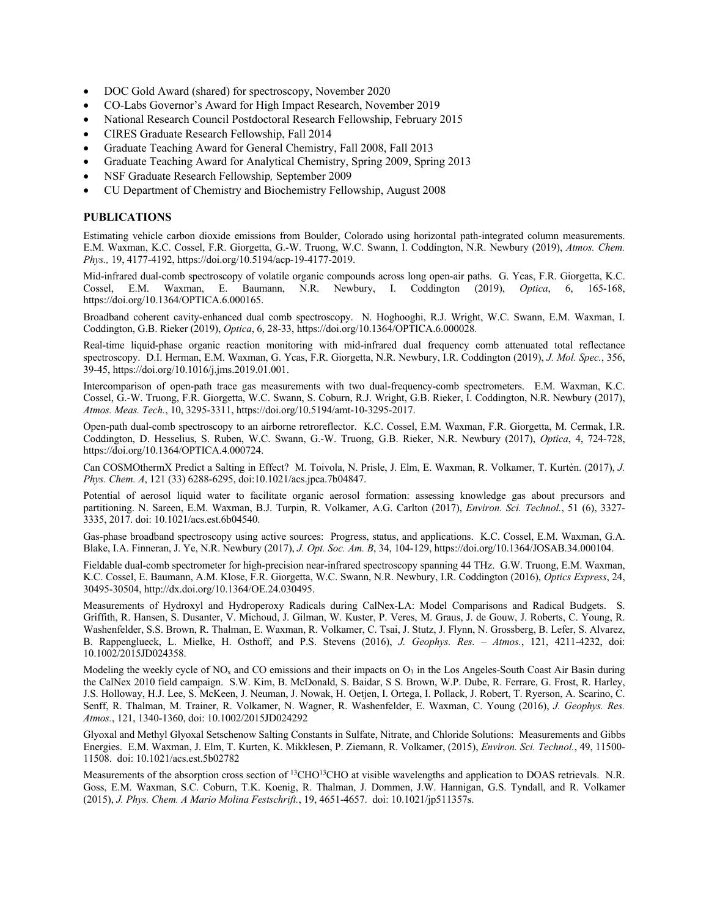- DOC Gold Award (shared) for spectroscopy, November 2020
- CO-Labs Governor's Award for High Impact Research, November 2019
- National Research Council Postdoctoral Research Fellowship, February 2015
- CIRES Graduate Research Fellowship, Fall 2014
- Graduate Teaching Award for General Chemistry, Fall 2008, Fall 2013
- Graduate Teaching Award for Analytical Chemistry, Spring 2009, Spring 2013
- NSF Graduate Research Fellowship*,* September 2009
- CU Department of Chemistry and Biochemistry Fellowship, August 2008

### **PUBLICATIONS**

Estimating vehicle carbon dioxide emissions from Boulder, Colorado using horizontal path-integrated column measurements. E.M. Waxman, K.C. Cossel, F.R. Giorgetta, G.-W. Truong, W.C. Swann, I. Coddington, N.R. Newbury (2019), *Atmos. Chem. Phys.,* 19, 4177-4192, https://doi.org/10.5194/acp-19-4177-2019.

Mid-infrared dual-comb spectroscopy of volatile organic compounds across long open-air paths. G. Ycas, F.R. Giorgetta, K.C. Cossel, E.M. Waxman, E. Baumann, N.R. Newbury, I. Coddington (2019), *Optica*, 6, 165-168, https://doi.org/10.1364/OPTICA.6.000165.

Broadband coherent cavity-enhanced dual comb spectroscopy. N. Hoghooghi, R.J. Wright, W.C. Swann, E.M. Waxman, I. Coddington, G.B. Rieker (2019), *Optica*, 6, 28-33, https://doi.org/10.1364/OPTICA.6.000028*.*

Real-time liquid-phase organic reaction monitoring with mid-infrared dual frequency comb attenuated total reflectance spectroscopy. D.I. Herman, E.M. Waxman, G. Ycas, F.R. Giorgetta, N.R. Newbury, I.R. Coddington (2019), *J. Mol. Spec.*, 356, 39-45, https://doi.org/10.1016/j.jms.2019.01.001.

Intercomparison of open-path trace gas measurements with two dual-frequency-comb spectrometers. E.M. Waxman, K.C. Cossel, G.-W. Truong, F.R. Giorgetta, W.C. Swann, S. Coburn, R.J. Wright, G.B. Rieker, I. Coddington, N.R. Newbury (2017), *Atmos. Meas. Tech.*, 10, 3295-3311, https://doi.org/10.5194/amt-10-3295-2017.

Open-path dual-comb spectroscopy to an airborne retroreflector. K.C. Cossel, E.M. Waxman, F.R. Giorgetta, M. Cermak, I.R. Coddington, D. Hesselius, S. Ruben, W.C. Swann, G.-W. Truong, G.B. Rieker, N.R. Newbury (2017), *Optica*, 4, 724-728, https://doi.org/10.1364/OPTICA.4.000724.

Can COSMOthermX Predict a Salting in Effect? M. Toivola, N. Prisle, J. Elm, E. Waxman, R. Volkamer, T. Kurtén. (2017), *J. Phys. Chem. A*, 121 (33) 6288-6295, doi:10.1021/acs.jpca.7b04847.

Potential of aerosol liquid water to facilitate organic aerosol formation: assessing knowledge gas about precursors and partitioning. N. Sareen, E.M. Waxman, B.J. Turpin, R. Volkamer, A.G. Carlton (2017), *Environ. Sci. Technol.*, 51 (6), 3327- 3335, 2017. doi: 10.1021/acs.est.6b04540.

Gas-phase broadband spectroscopy using active sources: Progress, status, and applications. K.C. Cossel, E.M. Waxman, G.A. Blake, I.A. Finneran, J. Ye, N.R. Newbury (2017), *J. Opt. Soc. Am. B*, 34, 104-129, https://doi.org/10.1364/JOSAB.34.000104.

Fieldable dual-comb spectrometer for high-precision near-infrared spectroscopy spanning 44 THz. G.W. Truong, E.M. Waxman, K.C. Cossel, E. Baumann, A.M. Klose, F.R. Giorgetta, W.C. Swann, N.R. Newbury, I.R. Coddington (2016), *Optics Express*, 24, 30495-30504, http://dx.doi.org/10.1364/OE.24.030495.

Measurements of Hydroxyl and Hydroperoxy Radicals during CalNex-LA: Model Comparisons and Radical Budgets. S. Griffith, R. Hansen, S. Dusanter, V. Michoud, J. Gilman, W. Kuster, P. Veres, M. Graus, J. de Gouw, J. Roberts, C. Young, R. Washenfelder, S.S. Brown, R. Thalman, E. Waxman, R. Volkamer, C. Tsai, J. Stutz, J. Flynn, N. Grossberg, B. Lefer, S. Alvarez, B. Rappenglueck, L. Mielke, H. Osthoff, and P.S. Stevens (2016), *J. Geophys. Res. – Atmos.*, 121, 4211-4232, doi: 10.1002/2015JD024358.

Modeling the weekly cycle of  $NO<sub>x</sub>$  and CO emissions and their impacts on  $O<sub>3</sub>$  in the Los Angeles-South Coast Air Basin during the CalNex 2010 field campaign. S.W. Kim, B. McDonald, S. Baidar, S S. Brown, W.P. Dube, R. Ferrare, G. Frost, R. Harley, J.S. Holloway, H.J. Lee, S. McKeen, J. Neuman, J. Nowak, H. Oetjen, I. Ortega, I. Pollack, J. Robert, T. Ryerson, A. Scarino, C. Senff, R. Thalman, M. Trainer, R. Volkamer, N. Wagner, R. Washenfelder, E. Waxman, C. Young (2016), *J. Geophys. Res. Atmos.*, 121, 1340-1360, doi: 10.1002/2015JD024292

Glyoxal and Methyl Glyoxal Setschenow Salting Constants in Sulfate, Nitrate, and Chloride Solutions: Measurements and Gibbs Energies. E.M. Waxman, J. Elm, T. Kurten, K. Mikklesen, P. Ziemann, R. Volkamer, (2015), *Environ. Sci. Technol.*, 49, 11500- 11508. doi: 10.1021/acs.est.5b02782

Measurements of the absorption cross section of <sup>13</sup>CHO<sup>13</sup>CHO at visible wavelengths and application to DOAS retrievals. N.R. Goss, E.M. Waxman, S.C. Coburn, T.K. Koenig, R. Thalman, J. Dommen, J.W. Hannigan, G.S. Tyndall, and R. Volkamer (2015), *J. Phys. Chem. A Mario Molina Festschrift.*, 19, 4651-4657. doi: 10.1021/jp511357s.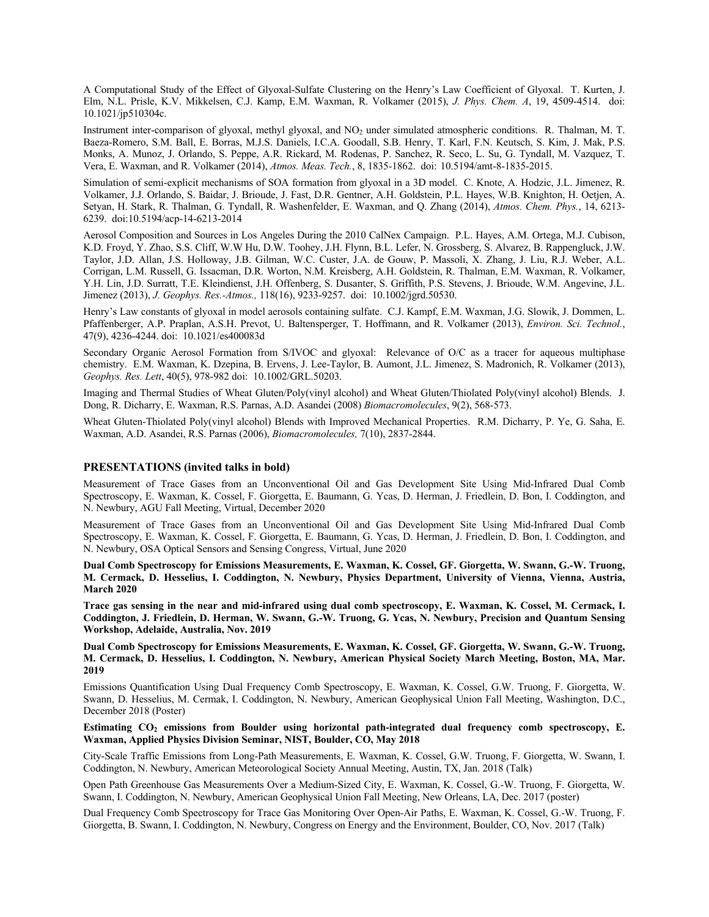A Computational Study of the Effect of Glyoxal-Sulfate Clustering on the Henry's Law Coefficient of Glyoxal. T. Kurten, J. Elm, N.L. Prisle, K.V. Mikkelsen, C.J. Kamp, E.M. Waxman, R. Volkamer (2015), *J. Phys. Chem. A*, 19, 4509-4514. doi: 10.1021/jp510304c.

Instrument inter-comparison of glyoxal, methyl glyoxal, and NO2 under simulated atmospheric conditions. R. Thalman, M. T. Baeza-Romero, S.M. Ball, E. Borras, M.J.S. Daniels, I.C.A. Goodall, S.B. Henry, T. Karl, F.N. Keutsch, S. Kim, J. Mak, P.S. Monks, A. Munoz, J. Orlando, S. Peppe, A.R. Rickard, M. Rodenas, P. Sanchez, R. Seco, L. Su, G. Tyndall, M. Vazquez, T. Vera, E. Waxman, and R. Volkamer (2014), *Atmos. Meas. Tech.*, 8, 1835-1862. doi: 10.5194/amt-8-1835-2015.

Simulation of semi-explicit mechanisms of SOA formation from glyoxal in a 3D model. C. Knote, A. Hodzic, J.L. Jimenez, R. Volkamer, J.J. Orlando, S. Baidar, J. Brioude, J. Fast, D.R. Gentner, A.H. Goldstein, P.L. Hayes, W.B. Knighton, H. Oetjen, A. Setyan, H. Stark, R. Thalman, G. Tyndall, R. Washenfelder, E. Waxman, and Q. Zhang (2014), *Atmos. Chem. Phys.*, 14, 6213- 6239. doi:10.5194/acp-14-6213-2014

Aerosol Composition and Sources in Los Angeles During the 2010 CalNex Campaign. P.L. Hayes, A.M. Ortega, M.J. Cubison, K.D. Froyd, Y. Zhao, S.S. Cliff, W.W Hu, D.W. Toohey, J.H. Flynn, B.L. Lefer, N. Grossberg, S. Alvarez, B. Rappengluck, J.W. Taylor, J.D. Allan, J.S. Holloway, J.B. Gilman, W.C. Custer, J.A. de Gouw, P. Massoli, X. Zhang, J. Liu, R.J. Weber, A.L. Corrigan, L.M. Russell, G. Issacman, D.R. Worton, N.M. Kreisberg, A.H. Goldstein, R. Thalman, E.M. Waxman, R. Volkamer, Y.H. Lin, J.D. Surratt, T.E. Kleindienst, J.H. Offenberg, S. Dusanter, S. Griffith, P.S. Stevens, J. Brioude, W.M. Angevine, J.L. Jimenez (2013), *J. Geophys. Res.-Atmos.,* 118(16), 9233-9257. doi: 10.1002/jgrd.50530.

Henry's Law constants of glyoxal in model aerosols containing sulfate. C.J. Kampf, E.M. Waxman, J.G. Slowik, J. Dommen, L. Pfaffenberger, A.P. Praplan, A.S.H. Prevot, U. Baltensperger, T. Hoffmann, and R. Volkamer (2013), *Environ. Sci. Technol.*, 47(9), 4236-4244. doi: 10.1021/es400083d

Secondary Organic Aerosol Formation from S/IVOC and glyoxal: Relevance of O/C as a tracer for aqueous multiphase chemistry. E.M. Waxman, K. Dzepina, B. Ervens, J. Lee-Taylor, B. Aumont, J.L. Jimenez, S. Madronich, R. Volkamer (2013), *Geophys. Res. Lett*, 40(5), 978-982 doi: 10.1002/GRL.50203.

Imaging and Thermal Studies of Wheat Gluten/Poly(vinyl alcohol) and Wheat Gluten/Thiolated Poly(vinyl alcohol) Blends. J. Dong, R. Dicharry, E. Waxman, R.S. Parnas, A.D. Asandei (2008) *Biomacromolecules*, 9(2), 568-573.

Wheat Gluten-Thiolated Poly(vinyl alcohol) Blends with Improved Mechanical Properties. R.M. Dicharry, P. Ye, G. Saha, E. Waxman, A.D. Asandei, R.S. Parnas (2006), *Biomacromolecules,* 7(10), 2837-2844.

#### **PRESENTATIONS (invited talks in bold)**

Measurement of Trace Gases from an Unconventional Oil and Gas Development Site Using Mid-Infrared Dual Comb Spectroscopy, E. Waxman, K. Cossel, F. Giorgetta, E. Baumann, G. Ycas, D. Herman, J. Friedlein, D. Bon, I. Coddington, and N. Newbury, AGU Fall Meeting, Virtual, December 2020

Measurement of Trace Gases from an Unconventional Oil and Gas Development Site Using Mid-Infrared Dual Comb Spectroscopy, E. Waxman, K. Cossel, F. Giorgetta, E. Baumann, G. Ycas, D. Herman, J. Friedlein, D. Bon, I. Coddington, and N. Newbury, OSA Optical Sensors and Sensing Congress, Virtual, June 2020

**Dual Comb Spectroscopy for Emissions Measurements, E. Waxman, K. Cossel, GF. Giorgetta, W. Swann, G.-W. Truong, M. Cermack, D. Hesselius, I. Coddington, N. Newbury, Physics Department, University of Vienna, Vienna, Austria, March 2020**

**Trace gas sensing in the near and mid-infrared using dual comb spectroscopy, E. Waxman, K. Cossel, M. Cermack, I. Coddington, J. Friedlein, D. Herman, W. Swann, G.-W. Truong, G. Ycas, N. Newbury, Precision and Quantum Sensing Workshop, Adelaide, Australia, Nov. 2019**

**Dual Comb Spectroscopy for Emissions Measurements, E. Waxman, K. Cossel, GF. Giorgetta, W. Swann, G.-W. Truong, M. Cermack, D. Hesselius, I. Coddington, N. Newbury, American Physical Society March Meeting, Boston, MA, Mar. 2019**

Emissions Quantification Using Dual Frequency Comb Spectroscopy, E. Waxman, K. Cossel, G.W. Truong, F. Giorgetta, W. Swann, D. Hesselius, M. Cermak, I. Coddington, N. Newbury, American Geophysical Union Fall Meeting, Washington, D.C., December 2018 (Poster)

#### Estimating CO<sub>2</sub> emissions from Boulder using horizontal path-integrated dual frequency comb spectroscopy, E. **Waxman, Applied Physics Division Seminar, NIST, Boulder, CO, May 2018**

City-Scale Traffic Emissions from Long-Path Measurements, E. Waxman, K. Cossel, G.W. Truong, F. Giorgetta, W. Swann, I. Coddington, N. Newbury, American Meteorological Society Annual Meeting, Austin, TX, Jan. 2018 (Talk)

Open Path Greenhouse Gas Measurements Over a Medium-Sized City, E. Waxman, K. Cossel, G.-W. Truong, F. Giorgetta, W. Swann, I. Coddington, N. Newbury, American Geophysical Union Fall Meeting, New Orleans, LA, Dec. 2017 (poster)

Dual Frequency Comb Spectroscopy for Trace Gas Monitoring Over Open-Air Paths, E. Waxman, K. Cossel, G.-W. Truong, F. Giorgetta, B. Swann, I. Coddington, N. Newbury, Congress on Energy and the Environment, Boulder, CO, Nov. 2017 (Talk)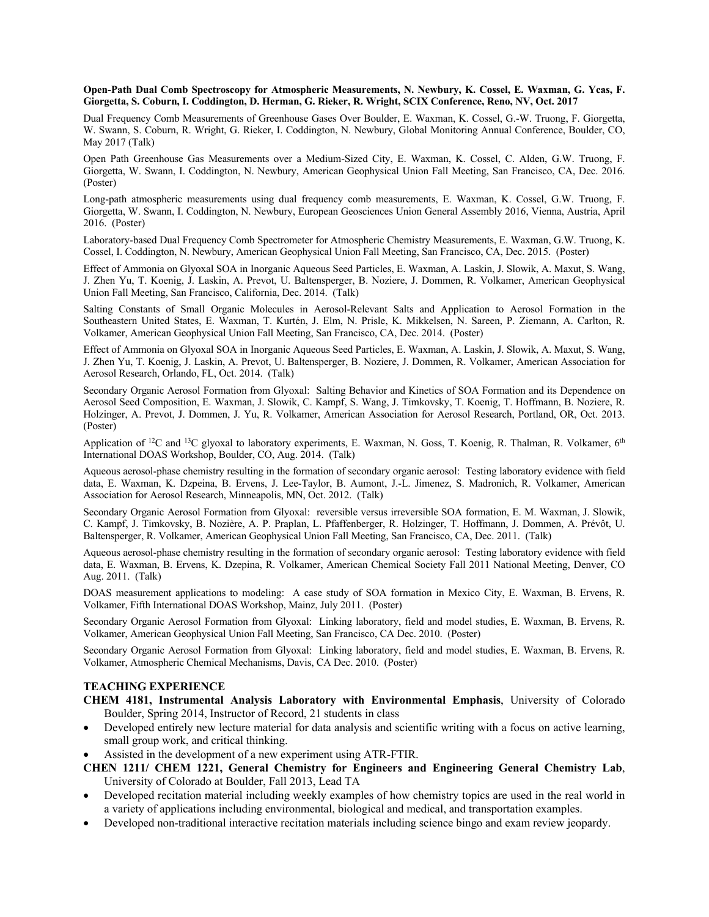#### **Open-Path Dual Comb Spectroscopy for Atmospheric Measurements, N. Newbury, K. Cossel, E. Waxman, G. Ycas, F. Giorgetta, S. Coburn, I. Coddington, D. Herman, G. Rieker, R. Wright, SCIX Conference, Reno, NV, Oct. 2017**

Dual Frequency Comb Measurements of Greenhouse Gases Over Boulder, E. Waxman, K. Cossel, G.-W. Truong, F. Giorgetta, W. Swann, S. Coburn, R. Wright, G. Rieker, I. Coddington, N. Newbury, Global Monitoring Annual Conference, Boulder, CO, May 2017 (Talk)

Open Path Greenhouse Gas Measurements over a Medium-Sized City, E. Waxman, K. Cossel, C. Alden, G.W. Truong, F. Giorgetta, W. Swann, I. Coddington, N. Newbury, American Geophysical Union Fall Meeting, San Francisco, CA, Dec. 2016. (Poster)

Long-path atmospheric measurements using dual frequency comb measurements, E. Waxman, K. Cossel, G.W. Truong, F. Giorgetta, W. Swann, I. Coddington, N. Newbury, European Geosciences Union General Assembly 2016, Vienna, Austria, April 2016. (Poster)

Laboratory-based Dual Frequency Comb Spectrometer for Atmospheric Chemistry Measurements, E. Waxman, G.W. Truong, K. Cossel, I. Coddington, N. Newbury, American Geophysical Union Fall Meeting, San Francisco, CA, Dec. 2015. (Poster)

Effect of Ammonia on Glyoxal SOA in Inorganic Aqueous Seed Particles, E. Waxman, A. Laskin, J. Slowik, A. Maxut, S. Wang, J. Zhen Yu, T. Koenig, J. Laskin, A. Prevot, U. Baltensperger, B. Noziere, J. Dommen, R. Volkamer, American Geophysical Union Fall Meeting, San Francisco, California, Dec. 2014. (Talk)

Salting Constants of Small Organic Molecules in Aerosol-Relevant Salts and Application to Aerosol Formation in the Southeastern United States, E. Waxman, T. Kurtén, J. Elm, N. Prisle, K. Mikkelsen, N. Sareen, P. Ziemann, A. Carlton, R. Volkamer, American Geophysical Union Fall Meeting, San Francisco, CA, Dec. 2014. (Poster)

Effect of Ammonia on Glyoxal SOA in Inorganic Aqueous Seed Particles, E. Waxman, A. Laskin, J. Slowik, A. Maxut, S. Wang, J. Zhen Yu, T. Koenig, J. Laskin, A. Prevot, U. Baltensperger, B. Noziere, J. Dommen, R. Volkamer, American Association for Aerosol Research, Orlando, FL, Oct. 2014. (Talk)

Secondary Organic Aerosol Formation from Glyoxal: Salting Behavior and Kinetics of SOA Formation and its Dependence on Aerosol Seed Composition, E. Waxman, J. Slowik, C. Kampf, S. Wang, J. Timkovsky, T. Koenig, T. Hoffmann, B. Noziere, R. Holzinger, A. Prevot, J. Dommen, J. Yu, R. Volkamer, American Association for Aerosol Research, Portland, OR, Oct. 2013. (Poster)

Application of <sup>12</sup>C and <sup>13</sup>C glyoxal to laboratory experiments, E. Waxman, N. Goss, T. Koenig, R. Thalman, R. Volkamer, 6<sup>th</sup> International DOAS Workshop, Boulder, CO, Aug. 2014. (Talk)

Aqueous aerosol-phase chemistry resulting in the formation of secondary organic aerosol: Testing laboratory evidence with field data, E. Waxman, K. Dzpeina, B. Ervens, J. Lee-Taylor, B. Aumont, J.-L. Jimenez, S. Madronich, R. Volkamer, American Association for Aerosol Research, Minneapolis, MN, Oct. 2012. (Talk)

Secondary Organic Aerosol Formation from Glyoxal: reversible versus irreversible SOA formation, E. M. Waxman, J. Slowik, C. Kampf, J. Timkovsky, B. Nozière, A. P. Praplan, L. Pfaffenberger, R. Holzinger, T. Hoffmann, J. Dommen, A. Prévôt, U. Baltensperger, R. Volkamer, American Geophysical Union Fall Meeting, San Francisco, CA, Dec. 2011. (Talk)

Aqueous aerosol-phase chemistry resulting in the formation of secondary organic aerosol: Testing laboratory evidence with field data, E. Waxman, B. Ervens, K. Dzepina, R. Volkamer, American Chemical Society Fall 2011 National Meeting, Denver, CO Aug. 2011. (Talk)

DOAS measurement applications to modeling: A case study of SOA formation in Mexico City, E. Waxman, B. Ervens, R. Volkamer, Fifth International DOAS Workshop, Mainz, July 2011. (Poster)

Secondary Organic Aerosol Formation from Glyoxal: Linking laboratory, field and model studies, E. Waxman, B. Ervens, R. Volkamer, American Geophysical Union Fall Meeting, San Francisco, CA Dec. 2010. (Poster)

Secondary Organic Aerosol Formation from Glyoxal: Linking laboratory, field and model studies, E. Waxman, B. Ervens, R. Volkamer, Atmospheric Chemical Mechanisms, Davis, CA Dec. 2010. (Poster)

## **TEACHING EXPERIENCE**

- **CHEM 4181, Instrumental Analysis Laboratory with Environmental Emphasis**, University of Colorado Boulder, Spring 2014, Instructor of Record, 21 students in class
- Developed entirely new lecture material for data analysis and scientific writing with a focus on active learning, small group work, and critical thinking.
- Assisted in the development of a new experiment using ATR-FTIR.
- **CHEN 1211/ CHEM 1221, General Chemistry for Engineers and Engineering General Chemistry Lab**, University of Colorado at Boulder, Fall 2013, Lead TA
- Developed recitation material including weekly examples of how chemistry topics are used in the real world in a variety of applications including environmental, biological and medical, and transportation examples.
- Developed non-traditional interactive recitation materials including science bingo and exam review jeopardy.